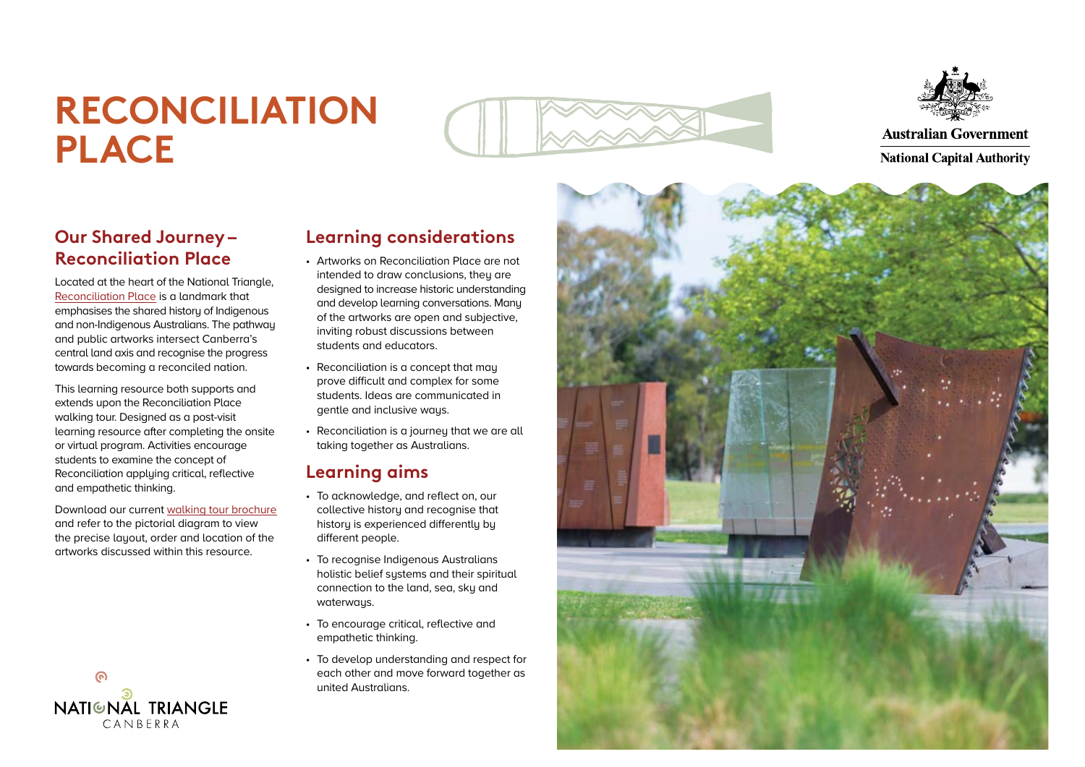## **RECONCILIATION PLACE**





**Australian Government** 

**Our Shared Journey – Reconciliation Place** 

Located at the heart of the National Triangle, [Reconciliation Place](https://www.nca.gov.au/attractions/reconciliation-place) is a landmark that emphasises the shared history of Indigenous and non-Indigenous Australians. The pathway and public artworks intersect Canberra's central land axis and recognise the progress towards becoming a reconciled nation.

This learning resource both supports and extends upon the Reconciliation Place walking tour. Designed as a post-visit learning resource after completing the onsite or virtual program. Activities encourage students to examine the concept of Reconciliation applying critical, reflective and empathetic thinking.

Download our current [walking tour brochure](https://www.nca.gov.au/attractions/take-tour/reconciliation-place-self-guided-walking-tour) and refer to the pictorial diagram to view the precise layout, order and location of the artworks discussed within this resource.



### **Learning considerations**

- Artworks on Reconciliation Place are not intended to draw conclusions, they are designed to increase historic understanding and develop learning conversations. Many of the artworks are open and subjective, inviting robust discussions between students and educators.
- Reconciliation is a concept that may prove difficult and complex for some students. Ideas are communicated in gentle and inclusive ways.
- Reconciliation is a journeu that we are all taking together as Australians.

## **Learning aims**

- To acknowledge, and reflect on, our collective history and recognise that history is experienced differently by different people.
- To recognise Indigenous Australians holistic belief sustems and their spiritual connection to the land, sea, sky and waterways.
- To encourage critical, reflective and empathetic thinking.
- To develop understanding and respect for each other and move forward together as united Australians.